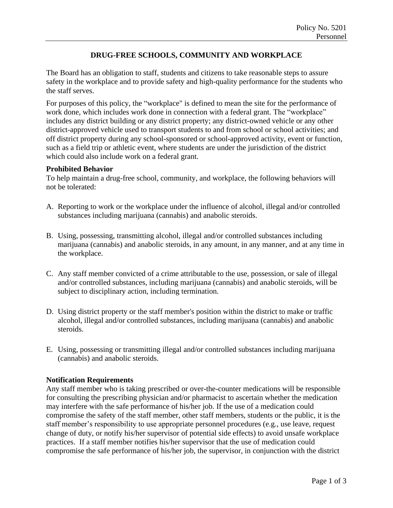## **DRUG-FREE SCHOOLS, COMMUNITY AND WORKPLACE**

The Board has an obligation to staff, students and citizens to take reasonable steps to assure safety in the workplace and to provide safety and high-quality performance for the students who the staff serves.

For purposes of this policy, the "workplace" is defined to mean the site for the performance of work done, which includes work done in connection with a federal grant. The "workplace" includes any district building or any district property; any district-owned vehicle or any other district-approved vehicle used to transport students to and from school or school activities; and off district property during any school-sponsored or school-approved activity, event or function, such as a field trip or athletic event, where students are under the jurisdiction of the district which could also include work on a federal grant.

## **Prohibited Behavior**

To help maintain a drug-free school, community, and workplace, the following behaviors will not be tolerated:

- A. Reporting to work or the workplace under the influence of alcohol, illegal and/or controlled substances including marijuana (cannabis) and anabolic steroids.
- B. Using, possessing, transmitting alcohol, illegal and/or controlled substances including marijuana (cannabis) and anabolic steroids, in any amount, in any manner, and at any time in the workplace.
- C. Any staff member convicted of a crime attributable to the use, possession, or sale of illegal and/or controlled substances, including marijuana (cannabis) and anabolic steroids, will be subject to disciplinary action, including termination.
- D. Using district property or the staff member's position within the district to make or traffic alcohol, illegal and/or controlled substances, including marijuana (cannabis) and anabolic steroids.
- E. Using, possessing or transmitting illegal and/or controlled substances including marijuana (cannabis) and anabolic steroids.

## **Notification Requirements**

Any staff member who is taking prescribed or over-the-counter medications will be responsible for consulting the prescribing physician and/or pharmacist to ascertain whether the medication may interfere with the safe performance of his/her job. If the use of a medication could compromise the safety of the staff member, other staff members, students or the public, it is the staff member's responsibility to use appropriate personnel procedures (e.g., use leave, request change of duty, or notify his/her supervisor of potential side effects) to avoid unsafe workplace practices. If a staff member notifies his/her supervisor that the use of medication could compromise the safe performance of his/her job, the supervisor, in conjunction with the district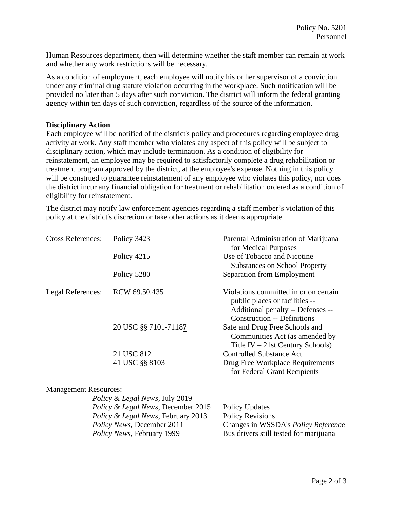Human Resources department, then will determine whether the staff member can remain at work and whether any work restrictions will be necessary.

As a condition of employment, each employee will notify his or her supervisor of a conviction under any criminal drug statute violation occurring in the workplace. Such notification will be provided no later than 5 days after such conviction. The district will inform the federal granting agency within ten days of such conviction, regardless of the source of the information.

## **Disciplinary Action**

Each employee will be notified of the district's policy and procedures regarding employee drug activity at work. Any staff member who violates any aspect of this policy will be subject to disciplinary action, which may include termination. As a condition of eligibility for reinstatement, an employee may be required to satisfactorily complete a drug rehabilitation or treatment program approved by the district, at the employee's expense. Nothing in this policy will be construed to guarantee reinstatement of any employee who violates this policy, nor does the district incur any financial obligation for treatment or rehabilitation ordered as a condition of eligibility for reinstatement.

The district may notify law enforcement agencies regarding a staff member's violation of this policy at the district's discretion or take other actions as it deems appropriate.

| <b>Cross References:</b>     | Policy 3423          | Parental Administration of Marijuana<br>for Medical Purposes                                                                                       |
|------------------------------|----------------------|----------------------------------------------------------------------------------------------------------------------------------------------------|
|                              | Policy 4215          | Use of Tobacco and Nicotine                                                                                                                        |
|                              |                      | <b>Substances on School Property</b>                                                                                                               |
|                              | Policy 5280          | Separation from Employment                                                                                                                         |
| Legal References:            | RCW 69.50.435        | Violations committed in or on certain<br>public places or facilities --<br>Additional penalty -- Defenses --<br><b>Construction -- Definitions</b> |
|                              | 20 USC §§ 7101-71187 | Safe and Drug Free Schools and<br>Communities Act (as amended by<br>Title IV $-21st$ Century Schools)                                              |
|                              | 21 USC 812           | <b>Controlled Substance Act</b>                                                                                                                    |
|                              | 41 USC §§ 8103       | Drug Free Workplace Requirements<br>for Federal Grant Recipients                                                                                   |
| <b>Management Resources:</b> |                      |                                                                                                                                                    |

| <i>Policy &amp; Legal News, July 2019</i>     |                                            |
|-----------------------------------------------|--------------------------------------------|
| <i>Policy &amp; Legal News, December 2015</i> | Policy Updates                             |
| <i>Policy &amp; Legal News, February 2013</i> | <b>Policy Revisions</b>                    |
| <i>Policy News, December 2011</i>             | Changes in WSSDA's <i>Policy Reference</i> |
| <i>Policy News</i> , February 1999            | Bus drivers still tested for marijuana     |